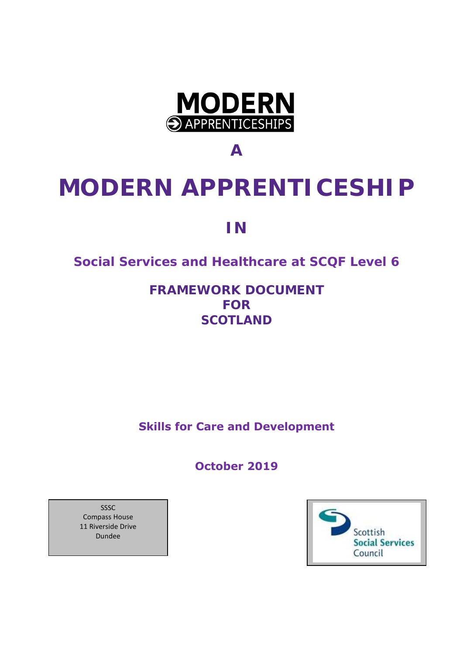

**A**

# **MODERN APPRENTICESHIP**

**IN**

### **Social Services and Healthcare at SCQF Level 6**

**FRAMEWORK DOCUMENT FOR SCOTLAND**

**Skills for Care and Development**

**October 2019**

SSSC Compass House 11 Riverside Drive Dundee

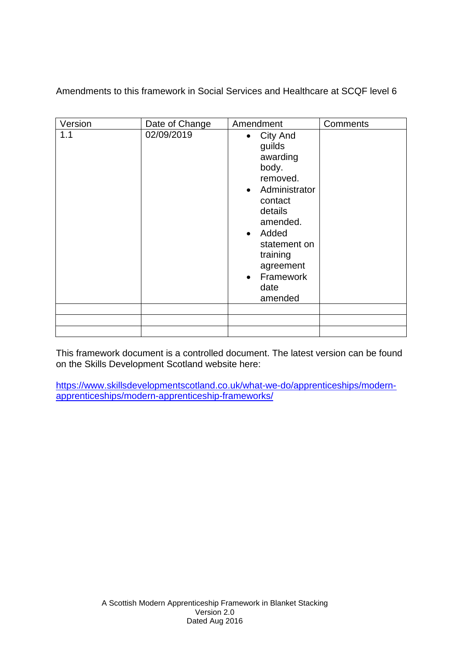Amendments to this framework in Social Services and Healthcare at SCQF level 6

| Version | Date of Change | Amendment                                                                                                                                                                                        | Comments |
|---------|----------------|--------------------------------------------------------------------------------------------------------------------------------------------------------------------------------------------------|----------|
| 1.1     | 02/09/2019     | • City And<br>guilds<br>awarding<br>body.<br>removed.<br>• Administrator<br>contact<br>details<br>amended.<br>• Added<br>statement on<br>training<br>agreement<br>• Framework<br>date<br>amended |          |
|         |                |                                                                                                                                                                                                  |          |

This framework document is a controlled document. The latest version can be found on the Skills Development Scotland website here:

[https://www.skillsdevelopmentscotland.co.uk/what-we-do/apprenticeships/modern](https://www.skillsdevelopmentscotland.co.uk/what-we-do/apprenticeships/modern-apprenticeships/modern-apprenticeship-frameworks/)[apprenticeships/modern-apprenticeship-frameworks/](https://www.skillsdevelopmentscotland.co.uk/what-we-do/apprenticeships/modern-apprenticeships/modern-apprenticeship-frameworks/)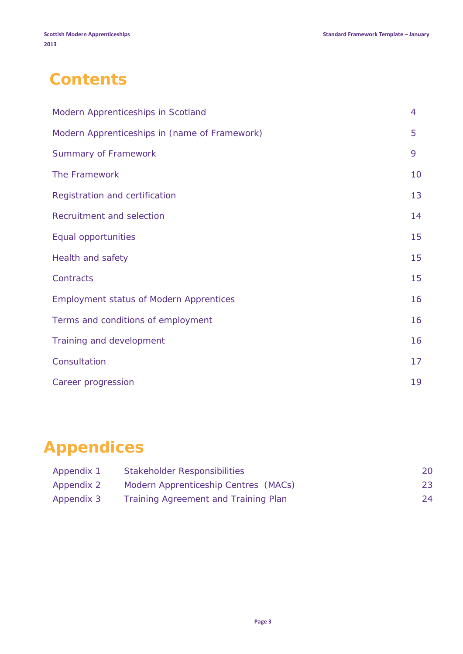# **Contents**

| Modern Apprenticeships in Scotland             | 4  |
|------------------------------------------------|----|
| Modern Apprenticeships in (name of Framework)  | 5  |
| <b>Summary of Framework</b>                    | 9  |
| The Framework                                  | 10 |
| Registration and certification                 | 13 |
| Recruitment and selection                      | 14 |
| Equal opportunities                            | 15 |
| <b>Health and safety</b>                       | 15 |
| Contracts                                      | 15 |
| <b>Employment status of Modern Apprentices</b> | 16 |
| Terms and conditions of employment             | 16 |
| Training and development                       | 16 |
| Consultation                                   | 17 |
| Career progression                             | 19 |

# **Appendices**

| Appendix 1 | <b>Stakeholder Responsibilities</b>  | 20 |
|------------|--------------------------------------|----|
| Appendix 2 | Modern Apprenticeship Centres (MACs) | 23 |
| Appendix 3 | Training Agreement and Training Plan | 24 |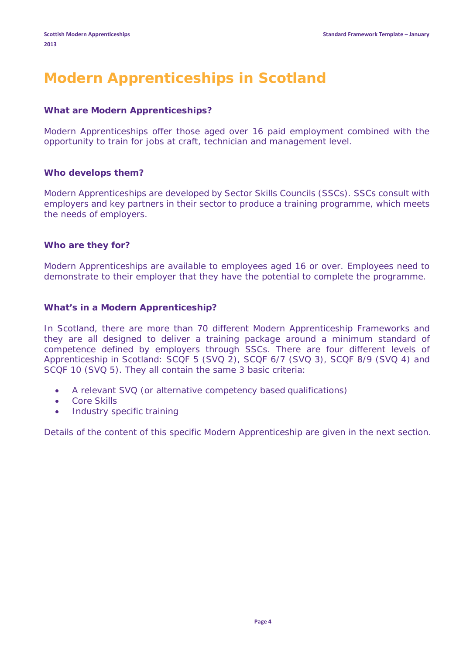## **Modern Apprenticeships in Scotland**

#### **What are Modern Apprenticeships?**

Modern Apprenticeships offer those aged over 16 paid employment combined with the opportunity to train for jobs at craft, technician and management level.

#### **Who develops them?**

Modern Apprenticeships are developed by Sector Skills Councils (SSCs). SSCs consult with employers and key partners in their sector to produce a training programme, which meets the needs of employers.

#### **Who are they for?**

Modern Apprenticeships are available to employees aged 16 or over. Employees need to demonstrate to their employer that they have the potential to complete the programme.

#### **What's in a Modern Apprenticeship?**

In Scotland, there are more than 70 different Modern Apprenticeship Frameworks and they are all designed to deliver a training package around a minimum standard of competence defined by employers through SSCs. There are four different levels of Apprenticeship in Scotland: SCQF 5 (SVQ 2), SCQF 6/7 (SVQ 3), SCQF 8/9 (SVQ 4) and SCQF 10 (SVQ 5). They all contain the same 3 basic criteria:

- A relevant SVQ (or alternative competency based qualifications)
- Core Skills
- Industry specific training

Details of the content of this specific Modern Apprenticeship are given in the next section.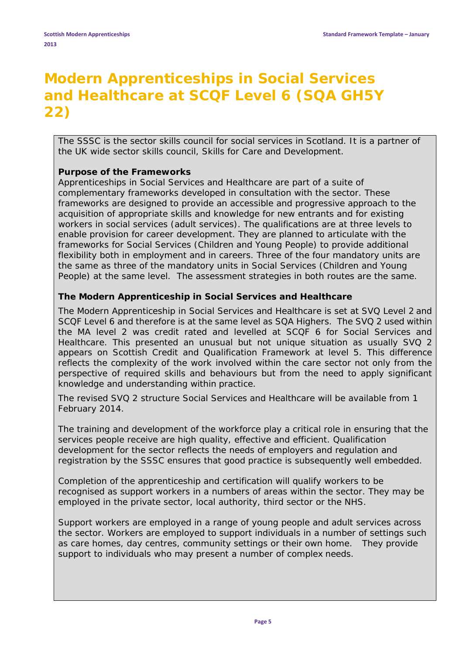# **Modern Apprenticeships in Social Services and Healthcare at SCQF Level 6 (SQA GH5Y 22)**

The SSSC is the sector skills council for social services in Scotland. It is a partner of the UK wide sector skills council, Skills for Care and Development.

#### **Purpose of the Frameworks**

Apprenticeships in Social Services and Healthcare are part of a suite of complementary frameworks developed in consultation with the sector. These frameworks are designed to provide an accessible and progressive approach to the acquisition of appropriate skills and knowledge for new entrants and for existing workers in social services (adult services). The qualifications are at three levels to enable provision for career development. They are planned to articulate with the frameworks for Social Services (Children and Young People) to provide additional flexibility both in employment and in careers. Three of the four mandatory units are the same as three of the mandatory units in Social Services (Children and Young People) at the same level. The assessment strategies in both routes are the same.

#### **The Modern Apprenticeship in Social Services and Healthcare**

The Modern Apprenticeship in Social Services and Healthcare is set at SVQ Level 2 and SCQF Level 6 and therefore is at the same level as SQA Highers. The SVQ 2 used within the MA level 2 was credit rated and levelled at SCQF 6 for Social Services and Healthcare. This presented an unusual but not unique situation as usually SVQ 2 appears on Scottish Credit and Qualification Framework at level 5. This difference reflects the complexity of the work involved within the care sector not only from the perspective of required skills and behaviours but from the need to apply significant knowledge and understanding within practice.

The revised SVQ 2 structure Social Services and Healthcare will be available from 1 February 2014.

The training and development of the workforce play a critical role in ensuring that the services people receive are high quality, effective and efficient. Qualification development for the sector reflects the needs of employers and regulation and registration by the SSSC ensures that good practice is subsequently well embedded.

Completion of the apprenticeship and certification will qualify workers to be recognised as support workers in a numbers of areas within the sector. They may be employed in the private sector, local authority, third sector or the NHS.

Support workers are employed in a range of young people and adult services across the sector. Workers are employed to support individuals in a number of settings such as care homes, day centres, community settings or their own home. They provide support to individuals who may present a number of complex needs.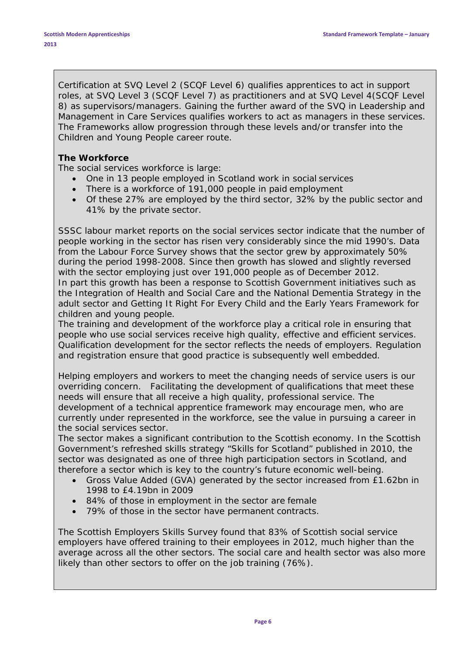Certification at SVQ Level 2 (SCQF Level 6) qualifies apprentices to act in *support* roles, at SVQ Level 3 (SCQF Level 7) as *practitioners* and at SVQ Level 4(SCQF Level 8) as *supervisors/managers*. Gaining the further award of the SVQ in Leadership and Management in Care Services qualifies workers to act as managers in these services. The Frameworks allow progression through these levels and/or transfer into the Children and Young People career route.

#### **The Workforce**

The social services workforce is large:

- One in 13 people employed in Scotland work in social services
- There is a workforce of 191,000 people in paid employment
- Of these 27% are employed by the third sector, 32% by the public sector and 41% by the private sector.

SSSC labour market reports on the social services sector indicate that the number of people working in the sector has risen very considerably since the mid 1990's. Data from the Labour Force Survey shows that the sector grew by approximately 50% during the period 1998-2008. Since then growth has slowed and slightly reversed with the sector employing just over 191,000 people as of December 2012. In part this growth has been a response to Scottish Government initiatives such as the Integration of Health and Social Care and the National Dementia Strategy in the adult sector and Getting It Right For Every Child and the Early Years Framework for children and young people.

The training and development of the workforce play a critical role in ensuring that people who use social services receive high quality, effective and efficient services. Qualification development for the sector reflects the needs of employers. Regulation and registration ensure that good practice is subsequently well embedded.

Helping employers and workers to meet the changing needs of service users is our overriding concern. Facilitating the development of qualifications that meet these needs will ensure that all receive a high quality, professional service. The development of a technical apprentice framework may encourage men, who are currently under represented in the workforce, see the value in pursuing a career in the social services sector.

The sector makes a significant contribution to the Scottish economy. In the Scottish Government's refreshed skills strategy "Skills for Scotland" published in 2010, the sector was designated as one of three high participation sectors in Scotland, and therefore a sector which is key to the country's future economic well-being.

- Gross Value Added (GVA) generated by the sector increased from £1.62bn in 1998 to £4.19bn in 2009
- 84% of those in employment in the sector are female
- 79% of those in the sector have permanent contracts.

The Scottish Employers Skills Survey found that 83% of Scottish social service employers have offered training to their employees in 2012, much higher than the average across all the other sectors. The social care and health sector was also more likely than other sectors to offer on the job training (76%).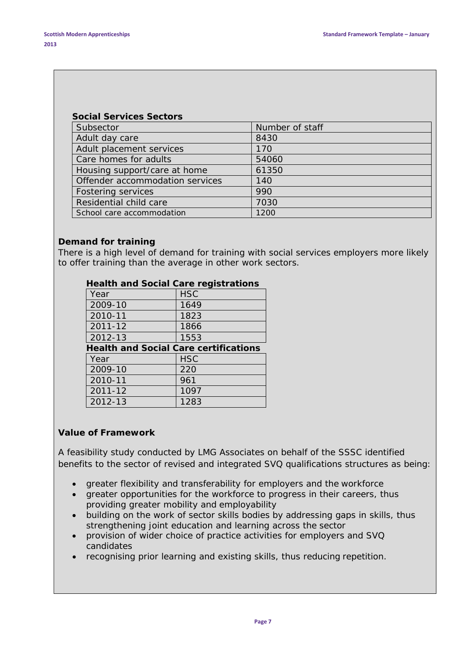| <b>Social Services Sectors</b>  |                 |
|---------------------------------|-----------------|
| Subsector                       | Number of staff |
| Adult day care                  | 8430            |
| Adult placement services        | 170             |
| Care homes for adults           | 54060           |
| Housing support/care at home    | 61350           |
| Offender accommodation services | 140             |
| <b>Fostering services</b>       | 990             |
| Residential child care          | 7030            |
| School care accommodation       | 1200            |

#### **Demand for training**

There is a high level of demand for training with social services employers more likely to offer training than the average in other work sectors.

| <u>Fiealth and Social Cale Fegisti atibilis</u> |            |  |  |
|-------------------------------------------------|------------|--|--|
| Year                                            | <b>HSC</b> |  |  |
| 2009-10                                         | 1649       |  |  |
| 2010-11                                         | 1823       |  |  |
| 2011-12                                         | 1866       |  |  |
| 2012-13                                         | 1553       |  |  |
| <b>Health and Social Care certifications</b>    |            |  |  |
| Year                                            | <b>HSC</b> |  |  |
| 2009-10                                         | 220        |  |  |
|                                                 |            |  |  |
| 2010-11                                         | 961        |  |  |
| 2011-12                                         | 1097       |  |  |

#### **Health and Social Care registrations**

#### **Value of Framework**

A feasibility study conducted by LMG Associates on behalf of the SSSC identified benefits to the sector of revised and integrated SVQ qualifications structures as being:

- greater flexibility and transferability for employers and the workforce
- greater opportunities for the workforce to progress in their careers, thus providing greater mobility and employability
- building on the work of sector skills bodies by addressing gaps in skills, thus strengthening joint education and learning across the sector
- provision of wider choice of practice activities for employers and SVQ candidates
- recognising prior learning and existing skills, thus reducing repetition.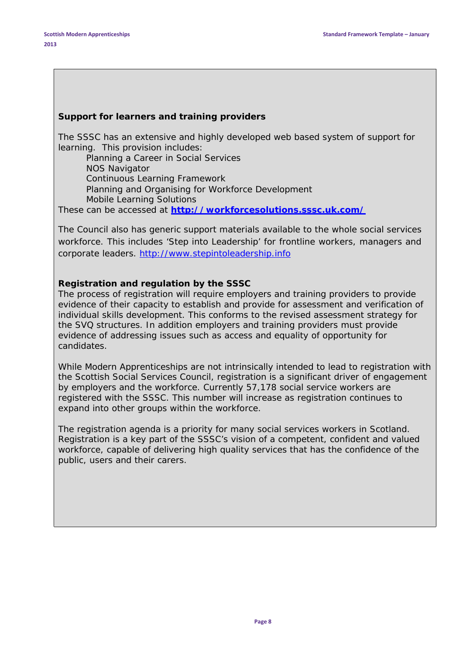#### **Support for learners and training providers**

The SSSC has an extensive and highly developed web based system of support for learning. This provision includes:

*Planning a Career in Social Services NOS Navigator Continuous Learning Framework Planning and Organising for Workforce Development Mobile Learning Solutions*

These can be accessed at **<http://workforcesolutions.sssc.uk.com/>**

The Council also has generic support materials available to the whole social services workforce. This includes 'Step into Leadership' for frontline workers, managers and corporate leaders. [http://www.stepintoleadership.info](http://www.stepintoleadership.info/)

#### **Registration and regulation by the SSSC**

The process of registration will require employers and training providers to provide evidence of their capacity to establish and provide for assessment and verification of individual skills development. This conforms to the revised assessment strategy for the SVQ structures. In addition employers and training providers must provide evidence of addressing issues such as access and equality of opportunity for candidates.

While Modern Apprenticeships are not intrinsically intended to lead to registration with the Scottish Social Services Council, registration is a significant driver of engagement by employers and the workforce. Currently 57,178 social service workers are registered with the SSSC. This number will increase as registration continues to expand into other groups within the workforce.

The registration agenda is a priority for many social services workers in Scotland. Registration is a key part of the SSSC's vision of a competent, confident and valued workforce, capable of delivering high quality services that has the confidence of the public, users and their carers.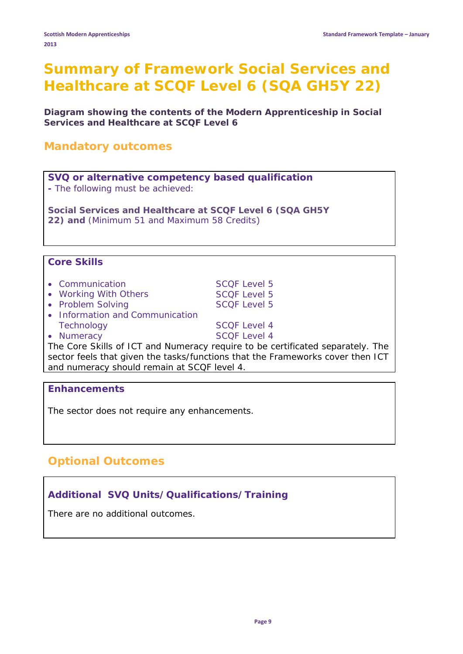### **Summary of Framework Social Services and Healthcare at SCQF Level 6 (SQA GH5Y 22)**

**Diagram showing the contents of the Modern Apprenticeship in Social Services and Healthcare at SCQF Level 6**

### **Mandatory outcomes**

**SVQ or alternative competency based qualification -** *The following must be achieved:*

**Social Services and Healthcare at SCQF Level 6 (SQA GH5Y 22) and** (Minimum 51 and Maximum 58 Credits)

#### **Core Skills**

| • Communication                                           | <b>SCQF Level 5</b> |
|-----------------------------------------------------------|---------------------|
| • Working With Others                                     | <b>SCQF Level 5</b> |
| • Problem Solving                                         | <b>SCOF Level 5</b> |
| • Information and Communication                           |                     |
| Technology                                                | <b>SCOF Level 4</b> |
| • Numeracy                                                | <b>SCQF Level 4</b> |
| $\tau$ $\sim$ $\sim$ $\sim$ $\mu$<br>$\sim$ $\sim$ $\sim$ |                     |

The Core Skills of ICT and Numeracy require to be certificated separately. The sector feels that given the tasks/functions that the Frameworks cover then ICT and numeracy should remain at SCQF level 4.

#### **Enhancements**

The sector does not require any enhancements.

### **Optional Outcomes**

#### **Additional SVQ Units/Qualifications/Training**

There are no additional outcomes.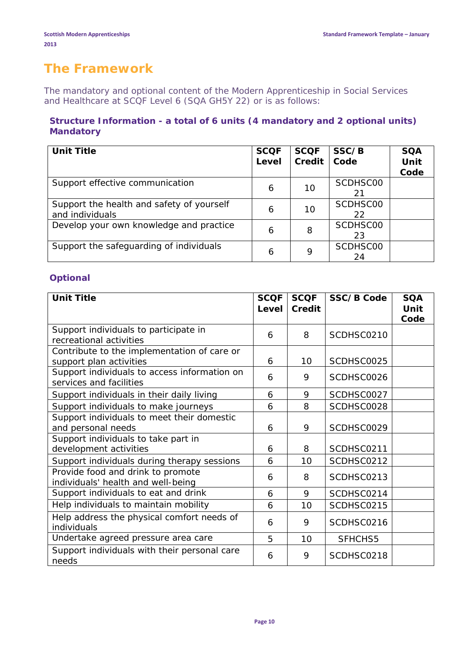### **The Framework**

The mandatory and optional content of the Modern Apprenticeship in Social Services and Healthcare at SCQF Level 6 (SQA GH5Y 22) or is as follows:

#### **Structure Information - a total of 6 units (4 mandatory and 2 optional units) Mandatory**

| <b>Unit Title</b>                                            | <b>SCQF</b><br>Level | <b>SCQF</b><br><b>Credit</b> | SSC/B<br>Code  | <b>SQA</b><br>Unit<br>Code |
|--------------------------------------------------------------|----------------------|------------------------------|----------------|----------------------------|
| Support effective communication                              | 6                    | 10                           | SCDHSC00<br>21 |                            |
| Support the health and safety of yourself<br>and individuals | 6                    | 10                           | SCDHSC00<br>22 |                            |
| Develop your own knowledge and practice                      | 6                    | 8                            | SCDHSC00<br>23 |                            |
| Support the safeguarding of individuals                      | 6                    | 9                            | SCDHSC00<br>24 |                            |

#### **Optional**

| <b>Unit Title</b>                                                       | <b>SCQF</b><br>Level | <b>SCOF</b><br>Credit | <b>SSC/B Code</b> | <b>SQA</b><br>Unit |
|-------------------------------------------------------------------------|----------------------|-----------------------|-------------------|--------------------|
|                                                                         |                      |                       |                   | Code               |
| Support individuals to participate in<br>recreational activities        | 6                    | 8                     | SCDHSC0210        |                    |
| Contribute to the implementation of care or                             |                      |                       |                   |                    |
| support plan activities                                                 | 6                    | 10                    | SCDHSC0025        |                    |
| Support individuals to access information on<br>services and facilities | 6                    | 9                     | SCDHSC0026        |                    |
| Support individuals in their daily living                               | 6                    | 9                     | SCDHSC0027        |                    |
| Support individuals to make journeys                                    | 6                    | 8                     | SCDHSC0028        |                    |
| Support individuals to meet their domestic<br>and personal needs        | 6                    | 9                     | SCDHSC0029        |                    |
| Support individuals to take part in                                     |                      |                       |                   |                    |
| development activities                                                  | 6                    | 8                     | SCDHSC0211        |                    |
| Support individuals during therapy sessions                             | 6                    | 10                    | SCDHSC0212        |                    |
| Provide food and drink to promote<br>individuals' health and well-being | 6                    | 8                     | SCDHSC0213        |                    |
| Support individuals to eat and drink                                    | 6                    | 9                     | SCDHSC0214        |                    |
| Help individuals to maintain mobility                                   | 6                    | 10                    | SCDHSC0215        |                    |
| Help address the physical comfort needs of<br>individuals               | 6                    | 9                     | SCDHSC0216        |                    |
| Undertake agreed pressure area care                                     | 5                    | 10                    | SFHCHS5           |                    |
| Support individuals with their personal care<br>needs                   | 6                    | 9                     | SCDHSC0218        |                    |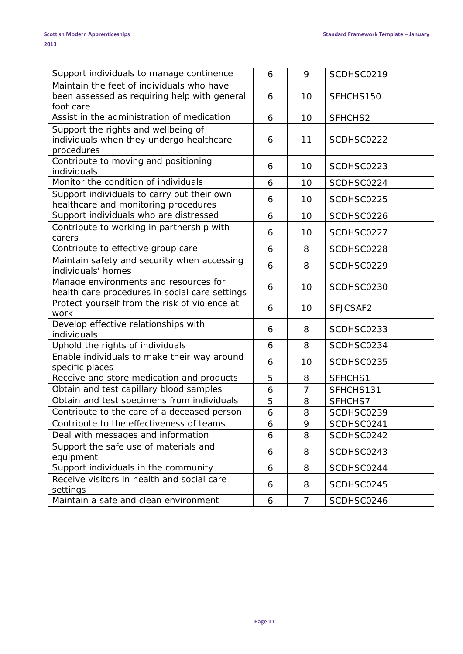| Support individuals to manage continence       | 6 | 9  | SCDHSC0219 |
|------------------------------------------------|---|----|------------|
| Maintain the feet of individuals who have      |   |    |            |
| been assessed as requiring help with general   | 6 | 10 | SFHCHS150  |
| foot care                                      |   |    |            |
| Assist in the administration of medication     | 6 | 10 | SFHCHS2    |
| Support the rights and wellbeing of            |   |    |            |
| individuals when they undergo healthcare       | 6 | 11 | SCDHSC0222 |
| procedures                                     |   |    |            |
| Contribute to moving and positioning           | 6 | 10 | SCDHSC0223 |
| individuals                                    |   |    |            |
| Monitor the condition of individuals           | 6 | 10 | SCDHSC0224 |
| Support individuals to carry out their own     | 6 | 10 | SCDHSC0225 |
| healthcare and monitoring procedures           |   |    |            |
| Support individuals who are distressed         | 6 | 10 | SCDHSC0226 |
| Contribute to working in partnership with      | 6 | 10 | SCDHSC0227 |
| carers                                         |   |    |            |
| Contribute to effective group care             | 6 | 8  | SCDHSC0228 |
| Maintain safety and security when accessing    | 6 | 8  | SCDHSC0229 |
| individuals' homes                             |   |    |            |
| Manage environments and resources for          | 6 | 10 | SCDHSC0230 |
| health care procedures in social care settings |   |    |            |
| Protect yourself from the risk of violence at  | 6 | 10 | SFJCSAF2   |
| work                                           |   |    |            |
| Develop effective relationships with           | 6 | 8  | SCDHSC0233 |
| individuals                                    |   |    |            |
| Uphold the rights of individuals               | 6 | 8  | SCDHSC0234 |
| Enable individuals to make their way around    | 6 | 10 | SCDHSC0235 |
| specific places                                |   |    |            |
| Receive and store medication and products      | 5 | 8  | SFHCHS1    |
| Obtain and test capillary blood samples        | 6 | 7  | SFHCHS131  |
| Obtain and test specimens from individuals     | 5 | 8  | SFHCHS7    |
| Contribute to the care of a deceased person    | 6 | 8  | SCDHSC0239 |
| Contribute to the effectiveness of teams       | 6 | 9  | SCDHSC0241 |
| Deal with messages and information             | 6 | 8  | SCDHSC0242 |
| Support the safe use of materials and          |   |    |            |
| equipment                                      | 6 | 8  | SCDHSC0243 |
| Support individuals in the community           | 6 | 8  | SCDHSC0244 |
| Receive visitors in health and social care     |   |    |            |
| settings                                       | 6 | 8  | SCDHSC0245 |
| Maintain a safe and clean environment          | 6 | 7  | SCDHSC0246 |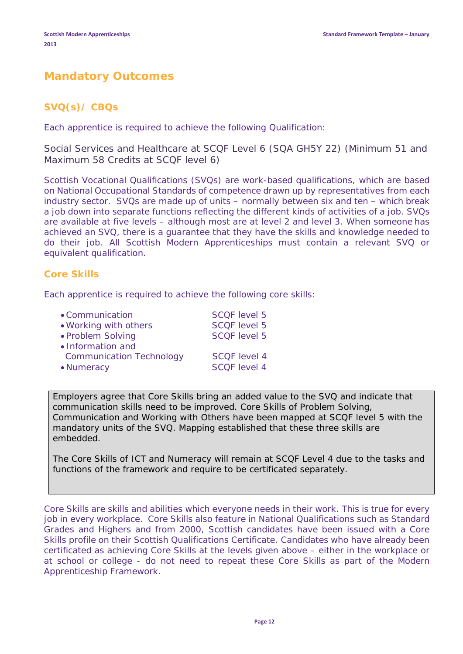### **Mandatory Outcomes**

#### **SVQ(s)/ CBQs**

Each apprentice is required to achieve the following Qualification:

Social Services and Healthcare at SCQF Level 6 (SQA GH5Y 22) (Minimum 51 and Maximum 58 Credits at SCQF level 6)

Scottish Vocational Qualifications (SVQs) are work-based qualifications, which are based on National Occupational Standards of competence drawn up by representatives from each industry sector. SVQs are made up of units – normally between six and ten – which break a job down into separate functions reflecting the different kinds of activities of a job. SVQs are available at five levels – although most are at level 2 and level 3. When someone has achieved an SVQ, there is a guarantee that they have the skills and knowledge needed to do their job. All Scottish Modern Apprenticeships must contain a relevant SVQ or equivalent qualification.

#### **Core Skills**

Each apprentice is required to achieve the following core skills:

| • Communication                 | <b>SCOF</b> level 5 |
|---------------------------------|---------------------|
| . Working with others           | <b>SCQF level 5</b> |
| • Problem Solving               | SCQF level 5        |
| • Information and               |                     |
| <b>Communication Technology</b> | <b>SCOF</b> level 4 |
| • Numeracy                      | <b>SCOF</b> level 4 |

Employers agree that Core Skills bring an added value to the SVQ and indicate that communication skills need to be improved. Core Skills of Problem Solving, Communication and Working with Others have been mapped at SCQF level 5 with the mandatory units of the SVQ. Mapping established that these three skills are embedded.

The Core Skills of ICT and Numeracy will remain at SCQF Level 4 due to the tasks and functions of the framework and require to be certificated separately.

Core Skills are skills and abilities which everyone needs in their work. This is true for every job in every workplace. Core Skills also feature in National Qualifications such as Standard Grades and Highers and from 2000, Scottish candidates have been issued with a Core Skills profile on their Scottish Qualifications Certificate. Candidates who have already been certificated as achieving Core Skills at the levels given above – either in the workplace or at school or college - do not need to repeat these Core Skills as part of the Modern Apprenticeship Framework.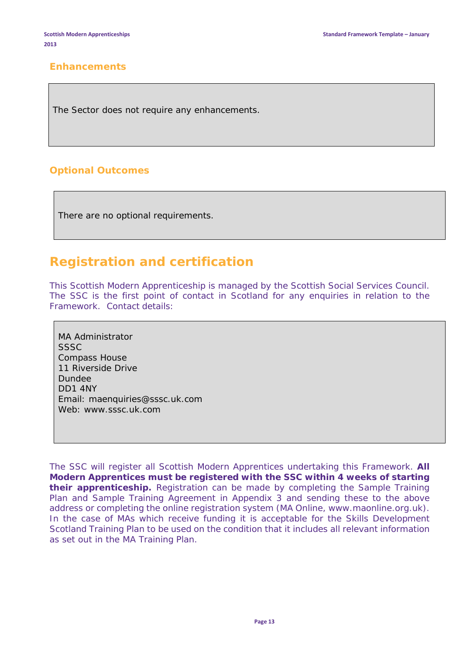#### **Enhancements**

The Sector does not require any enhancements.

#### **Optional Outcomes**

There are no optional requirements.

### **Registration and certification**

This Scottish Modern Apprenticeship is managed by the Scottish Social Services Council. The SSC is the first point of contact in Scotland for any enquiries in relation to the Framework. Contact details:

MA Administrator SSSC Compass House 11 Riverside Drive Dundee DD1 4NY Email: [maenquiries@sssc.uk.com](mailto:maenquiries@sssc.uk.com) Web: [www.sssc.uk.com](http://www.sssc.uk.com/)

The SSC will register all Scottish Modern Apprentices undertaking this Framework. **All Modern Apprentices must be registered with the SSC within 4 weeks of starting their apprenticeship.** Registration can be made by completing the Sample Training Plan and Sample Training Agreement in Appendix 3 and sending these to the above address or completing the online registration system (MA Online, www.maonline.org.uk). In the case of MAs which receive funding it is acceptable for the Skills Development Scotland Training Plan to be used on the condition that it includes all relevant information as set out in the MA Training Plan.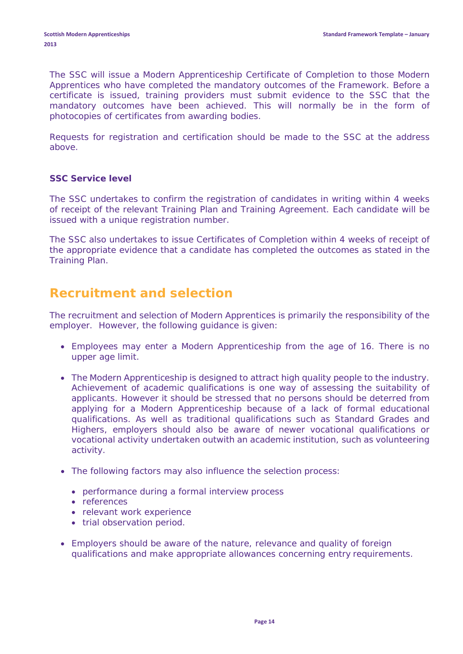The SSC will issue a Modern Apprenticeship Certificate of Completion to those Modern Apprentices who have completed the mandatory outcomes of the Framework. Before a certificate is issued, training providers must submit evidence to the SSC that the mandatory outcomes have been achieved. This will normally be in the form of photocopies of certificates from awarding bodies.

Requests for registration and certification should be made to the SSC at the address above.

#### **SSC Service level**

The SSC undertakes to confirm the registration of candidates in writing within 4 weeks of receipt of the relevant Training Plan and Training Agreement. Each candidate will be issued with a unique registration number.

The SSC also undertakes to issue Certificates of Completion within 4 weeks of receipt of the appropriate evidence that a candidate has completed the outcomes as stated in the Training Plan.

### **Recruitment and selection**

The recruitment and selection of Modern Apprentices is primarily the responsibility of the employer. However, the following guidance is given:

- Employees may enter a Modern Apprenticeship from the age of 16. There is no upper age limit.
- The Modern Apprenticeship is designed to attract high quality people to the industry. Achievement of academic qualifications is one way of assessing the suitability of applicants. However it should be stressed that no persons should be deterred from applying for a Modern Apprenticeship because of a lack of formal educational qualifications. As well as traditional qualifications such as Standard Grades and Highers, employers should also be aware of newer vocational qualifications or vocational activity undertaken outwith an academic institution, such as volunteering activity.
- The following factors may also influence the selection process:
	- performance during a formal interview process
	- references
	- relevant work experience
	- trial observation period.
- Employers should be aware of the nature, relevance and quality of foreign qualifications and make appropriate allowances concerning entry requirements.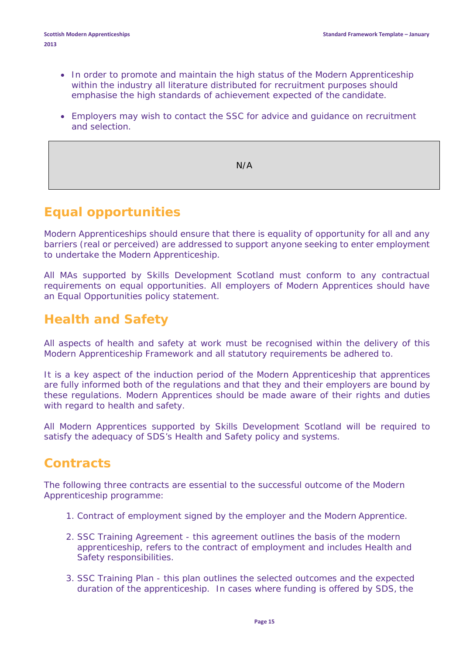- In order to promote and maintain the high status of the Modern Apprenticeship within the industry all literature distributed for recruitment purposes should emphasise the high standards of achievement expected of the candidate.
- Employers may wish to contact the SSC for advice and guidance on recruitment and selection.

N/A

### **Equal opportunities**

Modern Apprenticeships should ensure that there is equality of opportunity for all and any barriers (real or perceived) are addressed to support anyone seeking to enter employment to undertake the Modern Apprenticeship.

All MAs supported by Skills Development Scotland must conform to any contractual requirements on equal opportunities. All employers of Modern Apprentices should have an Equal Opportunities policy statement.

### **Health and Safety**

All aspects of health and safety at work must be recognised within the delivery of this Modern Apprenticeship Framework and all statutory requirements be adhered to.

It is a key aspect of the induction period of the Modern Apprenticeship that apprentices are fully informed both of the regulations and that they and their employers are bound by these regulations. Modern Apprentices should be made aware of their rights and duties with regard to health and safety.

All Modern Apprentices supported by Skills Development Scotland will be required to satisfy the adequacy of SDS's Health and Safety policy and systems.

### **Contracts**

The following three contracts are essential to the successful outcome of the Modern Apprenticeship programme:

- 1. Contract of employment signed by the employer and the Modern Apprentice.
- 2. SSC Training Agreement this agreement outlines the basis of the modern apprenticeship, refers to the contract of employment and includes Health and Safety responsibilities.
- 3. SSC Training Plan this plan outlines the selected outcomes and the expected duration of the apprenticeship. In cases where funding is offered by SDS, the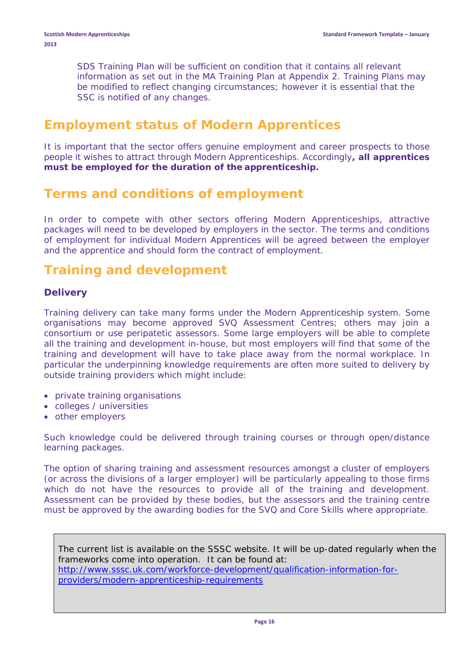SDS Training Plan will be sufficient on condition that it contains all relevant information as set out in the MA Training Plan at Appendix 2. Training Plans may be modified to reflect changing circumstances; however it is essential that the SSC is notified of any changes.

### **Employment status of Modern Apprentices**

It is important that the sector offers genuine employment and career prospects to those people it wishes to attract through Modern Apprenticeships. Accordingly**, all apprentices must be employed for the duration of the apprenticeship.**

### **Terms and conditions of employment**

In order to compete with other sectors offering Modern Apprenticeships, attractive packages will need to be developed by employers in the sector. The terms and conditions of employment for individual Modern Apprentices will be agreed between the employer and the apprentice and should form the contract of employment.

### **Training and development**

#### **Delivery**

Training delivery can take many forms under the Modern Apprenticeship system. Some organisations may become approved SVQ Assessment Centres; others may join a consortium or use peripatetic assessors. Some large employers will be able to complete all the training and development in-house, but most employers will find that some of the training and development will have to take place away from the normal workplace. In particular the underpinning knowledge requirements are often more suited to delivery by outside training providers which might include:

- private training organisations
- colleges / universities
- other employers

Such knowledge could be delivered through training courses or through open/distance learning packages.

The option of sharing training and assessment resources amongst a cluster of employers (or across the divisions of a larger employer) will be particularly appealing to those firms which do not have the resources to provide all of the training and development. Assessment can be provided by these bodies, but the assessors and the training centre must be approved by the awarding bodies for the SVQ and Core Skills where appropriate.

The current list is available on the SSSC website. It will be up-dated regularly when the frameworks come into operation. It can be found at: [http://www.sssc.uk.com/workforce-development/qualification-information-for](http://www.sssc.uk.com/workforce-development/qualification-information-for-providers/modern-apprenticeship-requirements)[providers/modern-apprenticeship-requirements](http://www.sssc.uk.com/workforce-development/qualification-information-for-providers/modern-apprenticeship-requirements)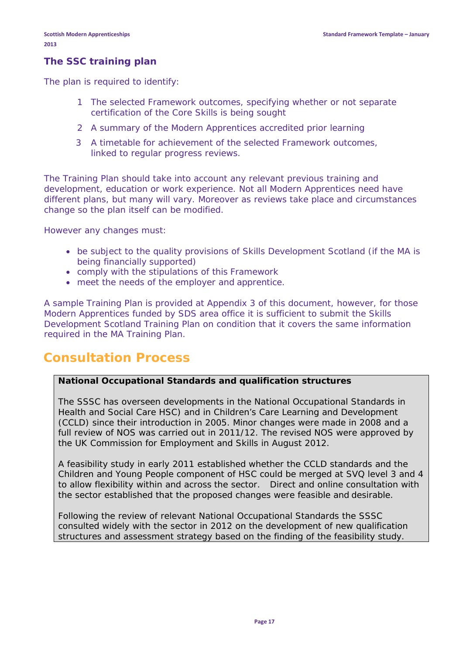#### **The SSC training plan**

The plan is required to identify:

- 1 The selected Framework outcomes, specifying whether or not separate certification of the Core Skills is being sought
- 2 A summary of the Modern Apprentices accredited prior learning
- 3 A timetable for achievement of the selected Framework outcomes, linked to regular progress reviews.

The Training Plan should take into account any relevant previous training and development, education or work experience. Not all Modern Apprentices need have different plans, but many will vary. Moreover as reviews take place and circumstances change so the plan itself can be modified.

However any changes must:

- be subject to the quality provisions of Skills Development Scotland (if the MA is being financially supported)
- comply with the stipulations of this Framework
- meet the needs of the employer and apprentice.

A sample Training Plan is provided at Appendix 3 of this document, however, for those Modern Apprentices funded by SDS area office it is sufficient to submit the Skills Development Scotland Training Plan on condition that it covers the same information required in the MA Training Plan.

### **Consultation Process**

#### **National Occupational Standards and qualification structures**

The SSSC has overseen developments in the National Occupational Standards in Health and Social Care HSC) and in Children's Care Learning and Development (CCLD) since their introduction in 2005. Minor changes were made in 2008 and a full review of NOS was carried out in 2011/12. The revised NOS were approved by the UK Commission for Employment and Skills in August 2012.

A feasibility study in early 2011 established whether the CCLD standards and the Children and Young People component of HSC could be merged at SVQ level 3 and 4 to allow flexibility within and across the sector. Direct and online consultation with the sector established that the proposed changes were feasible and desirable.

Following the review of relevant National Occupational Standards the SSSC consulted widely with the sector in 2012 on the development of new qualification structures and assessment strategy based on the finding of the feasibility study.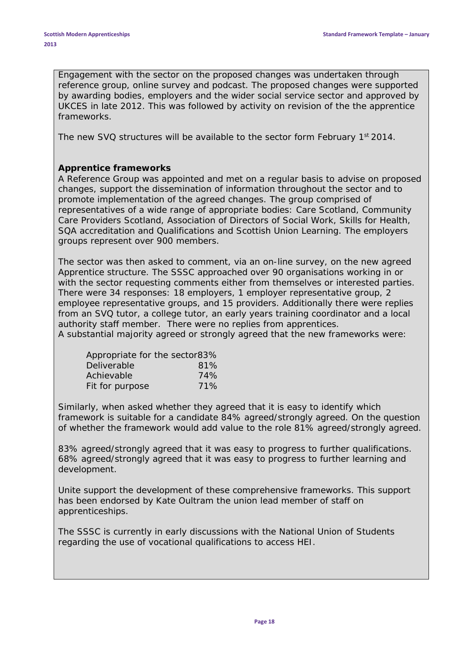Engagement with the sector on the proposed changes was undertaken through reference group, online survey and podcast. The proposed changes were supported by awarding bodies, employers and the wider social service sector and approved by UKCES in late 2012. This was followed by activity on revision of the the apprentice frameworks.

The new SVQ structures will be available to the sector form February 1<sup>st</sup> 2014.

#### **Apprentice frameworks**

A Reference Group was appointed and met on a regular basis to advise on proposed changes, support the dissemination of information throughout the sector and to promote implementation of the agreed changes. The group comprised of representatives of a wide range of appropriate bodies: Care Scotland, Community Care Providers Scotland, Association of Directors of Social Work, Skills for Health, SQA accreditation and Qualifications and Scottish Union Learning. The employers groups represent over 900 members.

The sector was then asked to comment, via an on-line survey, on the new agreed Apprentice structure. The SSSC approached over 90 organisations working in or with the sector requesting comments either from themselves or interested parties. There were 34 responses: 18 employers, 1 employer representative group, 2 employee representative groups, and 15 providers. Additionally there were replies from an SVQ tutor, a college tutor, an early years training coordinator and a local authority staff member. There were no replies from apprentices. A substantial majority agreed or strongly agreed that the new frameworks were:

| Appropriate for the sector83% |     |
|-------------------------------|-----|
| Deliverable                   | 81% |
| Achievable                    | 74% |
| Fit for purpose               | 71% |

Similarly, when asked whether they agreed that it is easy to identify which framework is suitable for a candidate 84% agreed/strongly agreed. On the question of whether the framework would add value to the role 81% agreed/strongly agreed.

83% agreed/strongly agreed that it was easy to progress to further qualifications. 68% agreed/strongly agreed that it was easy to progress to further learning and development.

Unite support the development of these comprehensive frameworks. This support has been endorsed by Kate Oultram the union lead member of staff on apprenticeships.

The SSSC is currently in early discussions with the National Union of Students regarding the use of vocational qualifications to access HEI.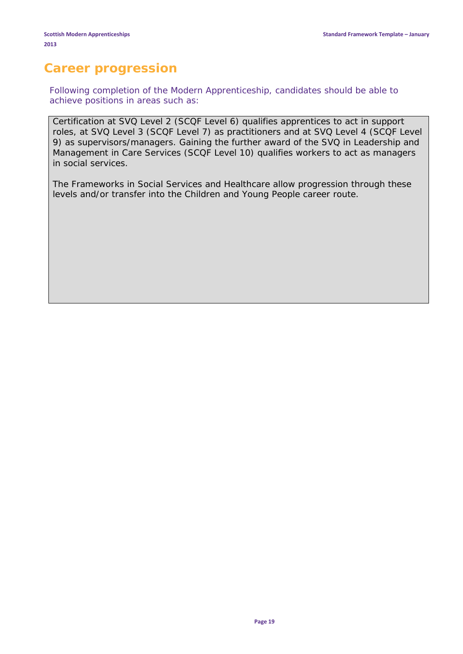### **Career progression**

Following completion of the Modern Apprenticeship, candidates should be able to achieve positions in areas such as:

Certification at SVQ Level 2 (SCQF Level 6) qualifies apprentices to act in *support* roles, at SVQ Level 3 (SCQF Level 7) as *practitioners* and at SVQ Level 4 (SCQF Level 9) as *supervisors/managers*. Gaining the further award of the SVQ in Leadership and Management in Care Services (SCQF Level 10) qualifies workers to act as managers in social services.

The Frameworks in Social Services and Healthcare allow progression through these levels and/or transfer into the Children and Young People career route.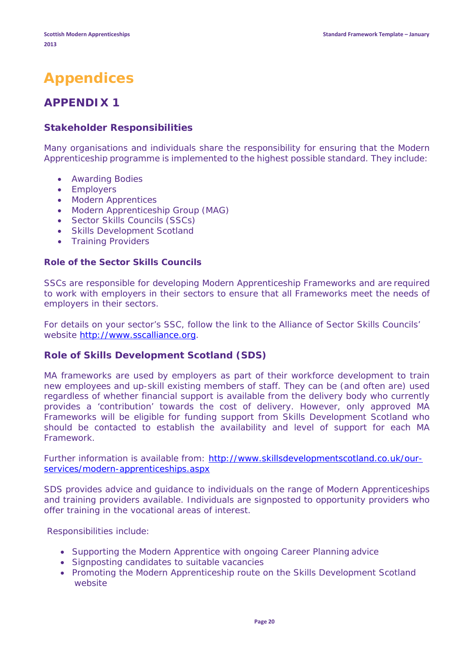## **Appendices**

### **APPENDIX 1**

#### **Stakeholder Responsibilities**

Many organisations and individuals share the responsibility for ensuring that the Modern Apprenticeship programme is implemented to the highest possible standard. They include:

- Awarding Bodies
- Employers
- Modern Apprentices
- Modern Apprenticeship Group (MAG)
- Sector Skills Councils (SSCs)
- Skills Development Scotland
- Training Providers

#### **Role of the Sector Skills Councils**

SSCs are responsible for developing Modern Apprenticeship Frameworks and are required to work with employers in their sectors to ensure that all Frameworks meet the needs of employers in their sectors.

For details on your sector's SSC, follow the link to the Alliance of Sector Skills Councils' website [http://www.sscalliance.org.](http://www.sscalliance.org/Home-Public/SectorSkillsCouncils/SSC_Contacts.aspx)

#### **Role of Skills Development Scotland (SDS)**

MA frameworks are used by employers as part of their workforce development to train new employees and up-skill existing members of staff. They can be (and often are) used regardless of whether financial support is available from the delivery body who currently provides a 'contribution' towards the cost of delivery. However, only approved MA Frameworks will be eligible for funding support from Skills Development Scotland who should be contacted to establish the availability and level of support for each MA Framework.

Further information is available from: [http://www.skillsdevelopmentscotland.co.uk/our](http://www.skillsdevelopmentscotland.co.uk/our-services/modern-apprenticeships.aspx)[services/modern-apprenticeships.aspx](http://www.skillsdevelopmentscotland.co.uk/our-services/modern-apprenticeships.aspx)

SDS provides advice and guidance to individuals on the range of Modern Apprenticeships and training providers available. Individuals are signposted to opportunity providers who offer training in the vocational areas of interest.

Responsibilities include:

- Supporting the Modern Apprentice with ongoing Career Planning advice
- Signposting candidates to suitable vacancies
- Promoting the Modern Apprenticeship route on the Skills Development Scotland website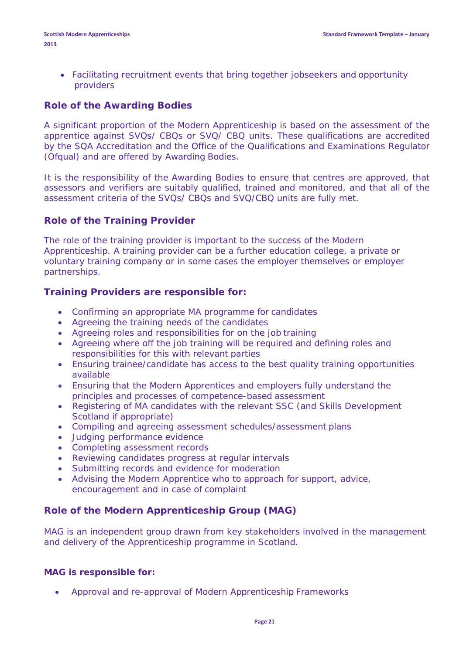• Facilitating recruitment events that bring together jobseekers and opportunity providers

#### **Role of the Awarding Bodies**

A significant proportion of the Modern Apprenticeship is based on the assessment of the apprentice against SVQs/ CBQs or SVQ/ CBQ units. These qualifications are accredited by the SQA Accreditation and the Office of the Qualifications and Examinations Regulator (Ofqual) and are offered by Awarding Bodies.

It is the responsibility of the Awarding Bodies to ensure that centres are approved, that assessors and verifiers are suitably qualified, trained and monitored, and that all of the assessment criteria of the SVQs/ CBQs and SVQ/CBQ units are fully met.

#### **Role of the Training Provider**

The role of the training provider is important to the success of the Modern Apprenticeship. A training provider can be a further education college, a private or voluntary training company or in some cases the employer themselves or employer partnerships.

#### **Training Providers are responsible for:**

- Confirming an appropriate MA programme for candidates
- Agreeing the training needs of the candidates
- Agreeing roles and responsibilities for on the job training
- Agreeing where off the job training will be required and defining roles and responsibilities for this with relevant parties
- Ensuring trainee/candidate has access to the best quality training opportunities available
- Ensuring that the Modern Apprentices and employers fully understand the principles and processes of competence-based assessment
- Registering of MA candidates with the relevant SSC (and Skills Development Scotland if appropriate)
- Compiling and agreeing assessment schedules/assessment plans
- Judging performance evidence
- Completing assessment records
- Reviewing candidates progress at regular intervals
- Submitting records and evidence for moderation
- Advising the Modern Apprentice who to approach for support, advice, encouragement and in case of complaint

#### **Role of the Modern Apprenticeship Group (MAG)**

MAG is an independent group drawn from key stakeholders involved in the management and delivery of the Apprenticeship programme in Scotland.

#### **MAG is responsible for:**

• Approval and re-approval of Modern Apprenticeship Frameworks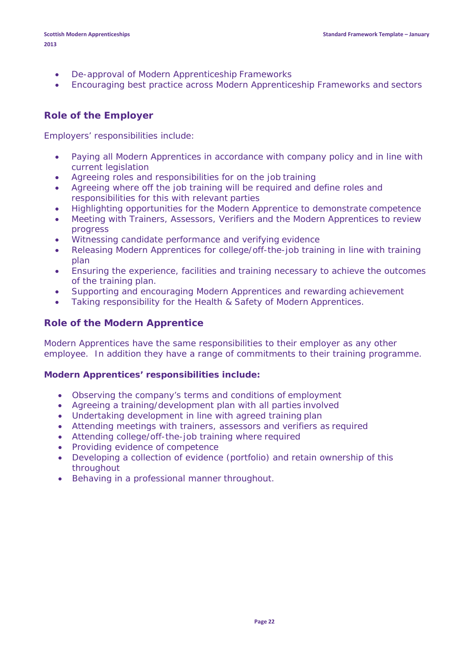- De-approval of Modern Apprenticeship Frameworks
- Encouraging best practice across Modern Apprenticeship Frameworks and sectors

#### **Role of the Employer**

Employers' responsibilities include:

- Paying all Modern Apprentices in accordance with company policy and in line with current legislation
- Agreeing roles and responsibilities for on the job training
- Agreeing where off the job training will be required and define roles and responsibilities for this with relevant parties
- Highlighting opportunities for the Modern Apprentice to demonstrate competence
- Meeting with Trainers, Assessors, Verifiers and the Modern Apprentices to review progress
- Witnessing candidate performance and verifying evidence
- Releasing Modern Apprentices for college/off-the-job training in line with training plan
- Ensuring the experience, facilities and training necessary to achieve the outcomes of the training plan.
- Supporting and encouraging Modern Apprentices and rewarding achievement
- Taking responsibility for the Health & Safety of Modern Apprentices.

#### **Role of the Modern Apprentice**

Modern Apprentices have the same responsibilities to their employer as any other employee. In addition they have a range of commitments to their training programme.

#### **Modern Apprentices' responsibilities include:**

- Observing the company's terms and conditions of employment
- Agreeing a training/development plan with all parties involved
- Undertaking development in line with agreed training plan
- Attending meetings with trainers, assessors and verifiers as required
- Attending college/off-the-job training where required
- Providing evidence of competence
- Developing a collection of evidence (portfolio) and retain ownership of this throughout
- Behaving in a professional manner throughout.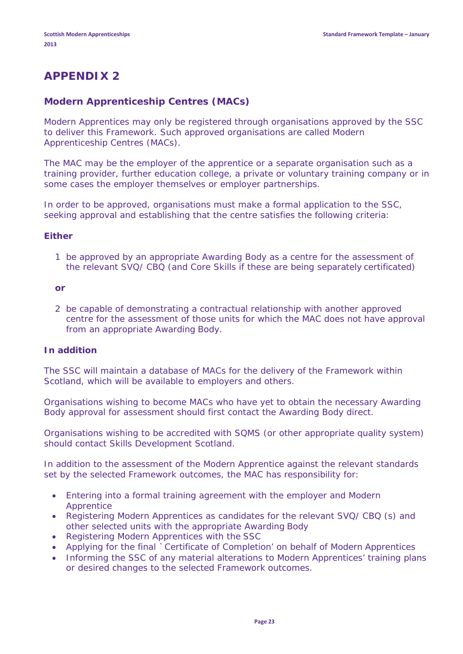### **APPENDIX 2**

#### **Modern Apprenticeship Centres (MACs)**

Modern Apprentices may only be registered through organisations approved by the SSC to deliver this Framework. Such approved organisations are called Modern Apprenticeship Centres (MACs).

The MAC may be the employer of the apprentice or a separate organisation such as a training provider, further education college, a private or voluntary training company or in some cases the employer themselves or employer partnerships.

In order to be approved, organisations must make a formal application to the SSC, seeking approval and establishing that the centre satisfies the following criteria:

#### **Either**

1 be approved by an appropriate Awarding Body as a centre for the assessment of the relevant SVQ/ CBQ (and Core Skills if these are being separately certificated)

#### **or**

2 be capable of demonstrating a contractual relationship with another approved centre for the assessment of those units for which the MAC does not have approval from an appropriate Awarding Body.

#### **In addition**

The SSC will maintain a database of MACs for the delivery of the Framework within Scotland, which will be available to employers and others.

Organisations wishing to become MACs who have yet to obtain the necessary Awarding Body approval for assessment should first contact the Awarding Body direct.

Organisations wishing to be accredited with SQMS (or other appropriate quality system) should contact Skills Development Scotland.

In addition to the assessment of the Modern Apprentice against the relevant standards set by the selected Framework outcomes, the MAC has responsibility for:

- Entering into a formal training agreement with the employer and Modern Apprentice
- Registering Modern Apprentices as candidates for the relevant SVQ/ CBQ (s) and other selected units with the appropriate Awarding Body
- Registering Modern Apprentices with the SSC
- Applying for the final `Certificate of Completion' on behalf of Modern Apprentices
- Informing the SSC of any material alterations to Modern Apprentices' training plans or desired changes to the selected Framework outcomes.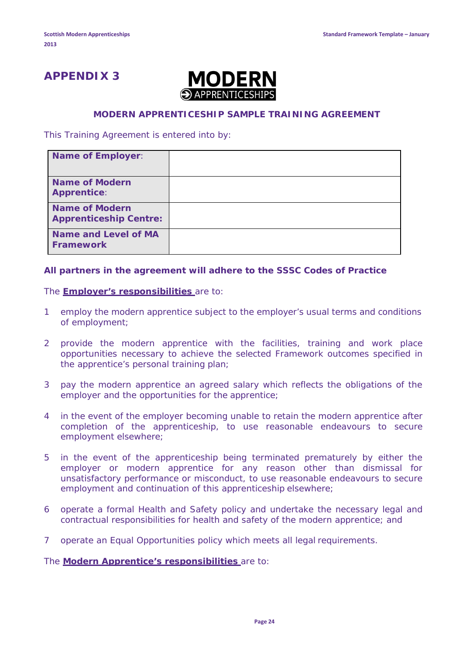### **APPENDIX 3**



#### **MODERN APPRENTICESHIP SAMPLE TRAINING AGREEMENT**

This Training Agreement is entered into by:

| <b>Name of Employer:</b>                               |  |
|--------------------------------------------------------|--|
| <b>Name of Modern</b><br><b>Apprentice:</b>            |  |
| <b>Name of Modern</b><br><b>Apprenticeship Centre:</b> |  |
| <b>Name and Level of MA</b><br><b>Framework</b>        |  |

#### **All partners in the agreement will adhere to the SSSC Codes of Practice**

#### The **Employer's responsibilities** are to:

- 1 employ the modern apprentice subject to the employer's usual terms and conditions of employment;
- 2 provide the modern apprentice with the facilities, training and work place opportunities necessary to achieve the selected Framework outcomes specified in the apprentice's personal training plan;
- 3 pay the modern apprentice an agreed salary which reflects the obligations of the employer and the opportunities for the apprentice;
- 4 in the event of the employer becoming unable to retain the modern apprentice after completion of the apprenticeship, to use reasonable endeavours to secure employment elsewhere;
- 5 in the event of the apprenticeship being terminated prematurely by either the employer or modern apprentice for any reason other than dismissal for unsatisfactory performance or misconduct, to use reasonable endeavours to secure employment and continuation of this apprenticeship elsewhere;
- 6 operate a formal Health and Safety policy and undertake the necessary legal and contractual responsibilities for health and safety of the modern apprentice; and
- 7 operate an Equal Opportunities policy which meets all legal requirements.

The **Modern Apprentice's responsibilities** are to: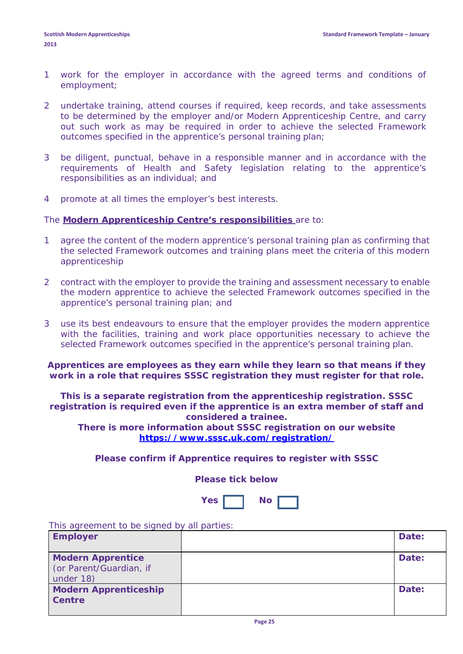- 1 work for the employer in accordance with the agreed terms and conditions of employment;
- 2 undertake training, attend courses if required, keep records, and take assessments to be determined by the employer and/or Modern Apprenticeship Centre, and carry out such work as may be required in order to achieve the selected Framework outcomes specified in the apprentice's personal training plan;
- 3 be diligent, punctual, behave in a responsible manner and in accordance with the requirements of Health and Safety legislation relating to the apprentice's responsibilities as an individual; and
- 4 promote at all times the employer's best interests.

#### The **Modern Apprenticeship Centre's responsibilities** are to:

- 1 agree the content of the modern apprentice's personal training plan as confirming that the selected Framework outcomes and training plans meet the criteria of this modern apprenticeship
- 2 contract with the employer to provide the training and assessment necessary to enable the modern apprentice to achieve the selected Framework outcomes specified in the apprentice's personal training plan; and
- 3 use its best endeavours to ensure that the employer provides the modern apprentice with the facilities, training and work place opportunities necessary to achieve the selected Framework outcomes specified in the apprentice's personal training plan.

**Apprentices are employees as they earn while they learn so that means if they work in a role that requires SSSC registration they must register for that role.**

**This is a separate registration from the apprenticeship registration. SSSC registration is required even if the apprentice is an extra member of staff and considered a trainee.**

**There is more information about SSSC registration on our website <https://www.sssc.uk.com/registration/>**

**Please confirm if Apprentice requires to register with SSSC** 

**Please tick below**

| <b>Yes</b> | Nο |  |
|------------|----|--|
|            |    |  |

This agreement to be signed by all parties:

| <b>Employer</b>                                                  | Date: |
|------------------------------------------------------------------|-------|
| <b>Modern Apprentice</b><br>(or Parent/Guardian, if<br>under 18) | Date: |
| <b>Modern Apprenticeship</b><br>Centre                           | Date: |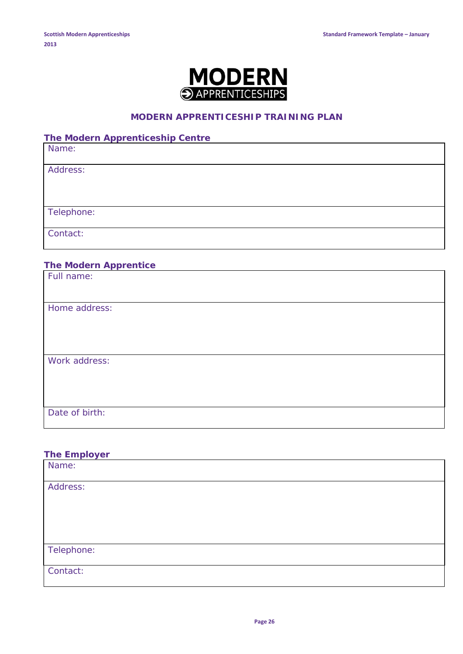

#### **MODERN APPRENTICESHIP TRAINING PLAN**

**The Modern Apprenticeship Centre**

Name:

Address:

Telephone:

Contact:

#### **The Modern Apprentice**

| Full name:     |  |  |
|----------------|--|--|
|                |  |  |
| Home address:  |  |  |
|                |  |  |
|                |  |  |
| Work address:  |  |  |
|                |  |  |
|                |  |  |
|                |  |  |
| Date of birth: |  |  |

**The Employer** Name: Address: Telephone: Contact: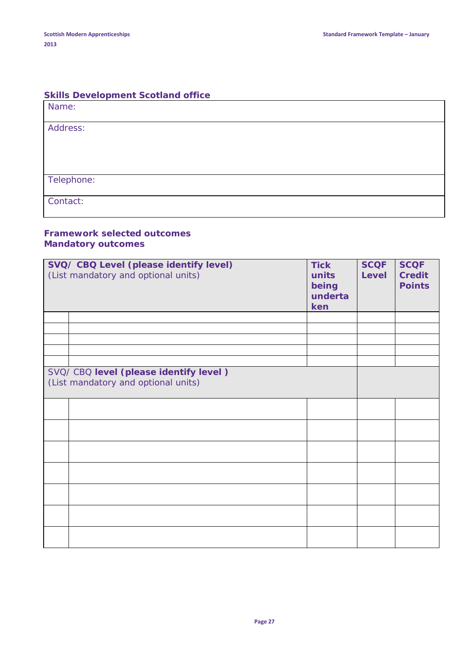#### **Skills Development Scotland office**

| Name:      |  |
|------------|--|
| Address:   |  |
|            |  |
|            |  |
| Telephone: |  |
| Contact:   |  |

#### **Framework selected outcomes** *Mandatory outcomes*

| SVQ/ CBQ Level (please identify level)<br>(List mandatory and optional units) | <b>Tick</b><br>units<br>being<br>underta<br>ken | <b>SCQF</b><br><b>Level</b> | <b>SCQF</b><br><b>Credit</b><br><b>Points</b> |
|-------------------------------------------------------------------------------|-------------------------------------------------|-----------------------------|-----------------------------------------------|
|                                                                               |                                                 |                             |                                               |
|                                                                               |                                                 |                             |                                               |
|                                                                               |                                                 |                             |                                               |
|                                                                               |                                                 |                             |                                               |
|                                                                               |                                                 |                             |                                               |
| SVQ/ CBQ level (please identify level)<br>(List mandatory and optional units) |                                                 |                             |                                               |
|                                                                               |                                                 |                             |                                               |
|                                                                               |                                                 |                             |                                               |
|                                                                               |                                                 |                             |                                               |
|                                                                               |                                                 |                             |                                               |
|                                                                               |                                                 |                             |                                               |
|                                                                               |                                                 |                             |                                               |
|                                                                               |                                                 |                             |                                               |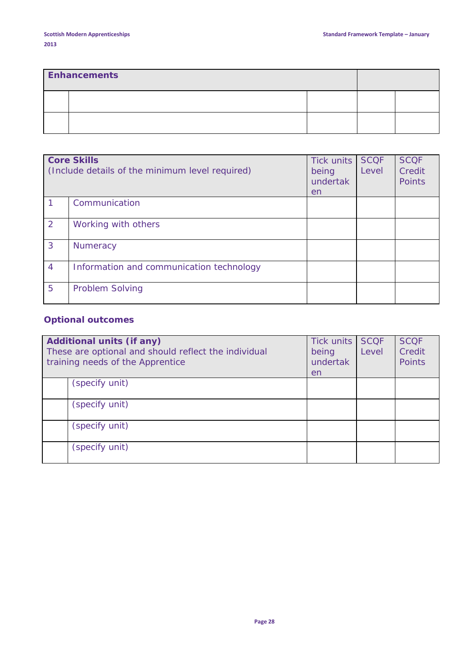| <b>Enhancements</b> |  |  |  |  |
|---------------------|--|--|--|--|
|                     |  |  |  |  |
|                     |  |  |  |  |

|                | <b>Core Skills</b><br>(Include details of the minimum level required) | Tick units<br>being<br>undertak<br>en | <b>SCOF</b><br>Level | <b>SCQF</b><br>Credit<br>Points |
|----------------|-----------------------------------------------------------------------|---------------------------------------|----------------------|---------------------------------|
|                | Communication                                                         |                                       |                      |                                 |
| 2              | Working with others                                                   |                                       |                      |                                 |
| 3              | <b>Numeracy</b>                                                       |                                       |                      |                                 |
| $\overline{4}$ | Information and communication technology                              |                                       |                      |                                 |
| 5              | <b>Problem Solving</b>                                                |                                       |                      |                                 |

### *Optional outcomes*

| <b>Additional units (if any)</b><br>These are optional and should reflect the individual<br>training needs of the Apprentice | Tick units<br>being<br>undertak<br>en | <b>SCOF</b><br>Level | <b>SCQF</b><br>Credit<br><b>Points</b> |
|------------------------------------------------------------------------------------------------------------------------------|---------------------------------------|----------------------|----------------------------------------|
| (specify unit)                                                                                                               |                                       |                      |                                        |
| (specify unit)                                                                                                               |                                       |                      |                                        |
| (specify unit)                                                                                                               |                                       |                      |                                        |
| (specify unit)                                                                                                               |                                       |                      |                                        |